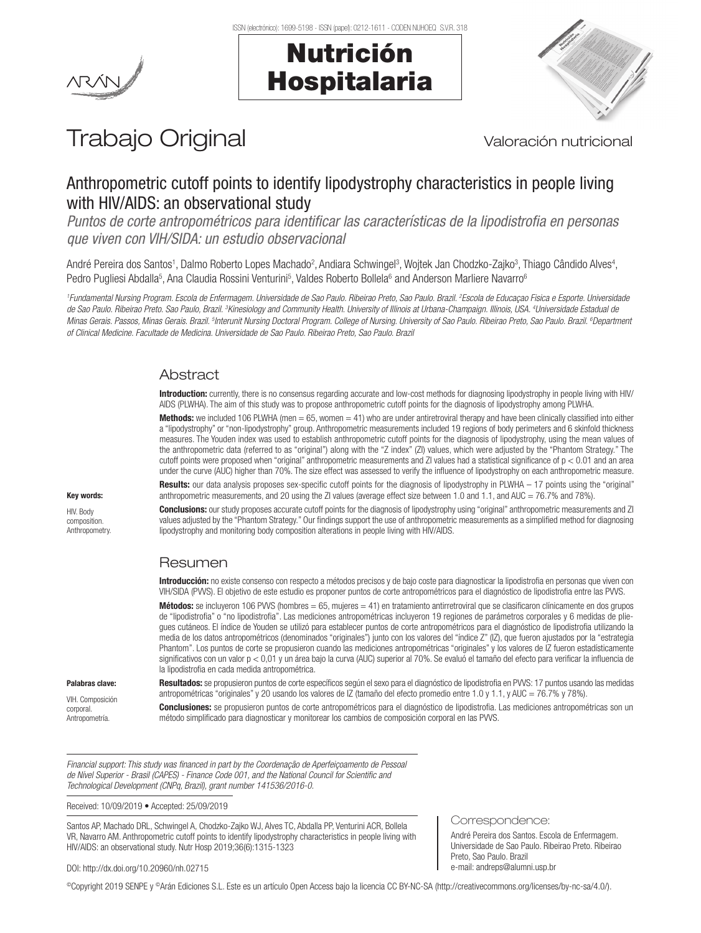



# Trabajo Original Valoración nutricional

## Anthropometric cutoff points to identify lipodystrophy characteristics in people living with HIV/AIDS: an observational study

*Puntos de corte antropométricos para identificar las características de la lipodistrofia en personas que viven con VIH/SIDA: un estudio observacional*

André Pereira dos Santos<sup>1</sup>, Dalmo Roberto Lopes Machado<sup>2</sup>, Andiara Schwingel<sup>3</sup>, Wojtek Jan Chodzko-Zajko<sup>3</sup>, Thiago Cândido Alves<sup>4</sup>, Pedro Pugliesi Abdalla<sup>5</sup>, Ana Claudia Rossini Venturini<sup>5</sup>, Valdes Roberto Bollela<sup>6</sup> and Anderson Marliere Navarro<sup>6</sup>

*1 Fundamental Nursing Program. Escola de Enfermagem. Universidade de Sao Paulo. Ribeirao Preto, Sao Paulo. Brazil. 2 Escola de Educaçao Fisica e Esporte. Universidade de Sao Paulo. Ribeirao Preto. Sao Paulo, Brazil. 3 Kinesiology and Community Health. University of Illinois at Urbana-Champaign. Illinois, USA. 4 Universidade Estadual de*  Minas Gerais. Passos, Minas Gerais. Brazil. <sup>s</sup>Interunit Nursing Doctoral Program. College of Nursing. University of Sao Paulo. Ribeirao Preto, Sao Paulo. Brazil. <sup>6</sup>Department *of Clinical Medicine. Facultade de Medicina. Universidade de Sao Paulo. Ribeirao Preto, Sao Paulo. Brazil*

## **Abstract**

Introduction: currently, there is no consensus regarding accurate and low-cost methods for diagnosing lipodystrophy in people living with HIV/ AIDS (PLWHA). The aim of this study was to propose anthropometric cutoff points for the diagnosis of lipodystrophy among PLWHA.

Methods: we included 106 PLWHA (men = 65, women = 41) who are under antiretroviral therapy and have been clinically classified into either a "lipodystrophy" or "non-lipodystrophy" group. Anthropometric measurements included 19 regions of body perimeters and 6 skinfold thickness measures. The Youden index was used to establish anthropometric cutoff points for the diagnosis of lipodystrophy, using the mean values of the anthropometric data (referred to as "original") along with the "Z index" (ZI) values, which were adjusted by the "Phantom Strategy." The cutoff points were proposed when "original" anthropometric measurements and ZI values had a statistical significance of p < 0.01 and an area under the curve (AUC) higher than 70%. The size effect was assessed to verify the influence of lipodystrophy on each anthropometric measure.

**Results:** our data analysis proposes sex-specific cutoff points for the diagnosis of lipodystrophy in PLWHA  $-$  17 points using the "original" anthropometric measurements, and 20 using the ZI values (average effect size between 1.0 and 1.1, and AUC = 76.7% and 78%).

Conclusions: our study proposes accurate cutoff points for the diagnosis of lipodystrophy using "original" anthropometric measurements and ZI values adjusted by the "Phantom Strategy." Our findings support the use of anthropometric measurements as a simplified method for diagnosing lipodystrophy and monitoring body composition alterations in people living with HIV/AIDS.

## Resumen

Introducción: no existe consenso con respecto a métodos precisos y de bajo coste para diagnosticar la lipodistrofia en personas que viven con VIH/SIDA (PVVS). El objetivo de este estudio es proponer puntos de corte antropométricos para el diagnóstico de lipodistrofia entre las PVVS.

**Métodos:** se incluyeron 106 PVVS (hombres = 65, mujeres = 41) en tratamiento antirretroviral que se clasificaron clínicamente en dos grupos de "lipodistrofia" o "no lipodistrofia". Las mediciones antropométricas incluyeron 19 regiones de parámetros corporales y 6 medidas de pliegues cutáneos. El índice de Youden se utilizó para establecer puntos de corte antropométricos para el diagnóstico de lipodistrofia utilizando la media de los datos antropométricos (denominados "originales") junto con los valores del "índice Z" (IZ), que fueron ajustados por la "estrategia Phantom". Los puntos de corte se propusieron cuando las mediciones antropométricas "originales" y los valores de IZ fueron estadísticamente significativos con un valor p < 0,01 y un área bajo la curva (AUC) superior al 70%. Se evaluó el tamaño del efecto para verificar la influencia de la lipodistrofia en cada medida antropométrica.

#### Palabras clave:

VIH. Composición corporal. Antropometría.

Resultados: se propusieron puntos de corte específicos según el sexo para el diagnóstico de lipodistrofia en PVVS: 17 puntos usando las medidas antropométricas "originales" y 20 usando los valores de IZ (tamaño del efecto promedio entre 1.0 y 1.1, y AUC = 76.7% y 78%).

Conclusiones: se propusieron puntos de corte antropométricos para el diagnóstico de lipodistrofia. Las mediciones antropométricas son un método simplificado para diagnosticar y monitorear los cambios de composición corporal en las PVVS.

Correspondence:

Preto, Sao Paulo. Brazil e-mail: andreps@alumni.usp.br

André Pereira dos Santos. Escola de Enfermagem. Universidade de Sao Paulo. Ribeirao Preto. Ribeirao

*Financial support: This study was financed in part by the Coordenação de Aperfeiçoamento de Pessoal de Nível Superior - Brasil (CAPES) - Finance Code 001, and the National Council for Scientific and Technological Development (CNPq, Brazil), grant number 141536/2016-0.*

Received: 10/09/2019 • Accepted: 25/09/2019

Santos AP, Machado DRL, Schwingel A, Chodzko-Zajko WJ, Alves TC, Abdalla PP, Venturini ACR, Bollela VR, Navarro AM. Anthropometric cutoff points to identify lipodystrophy characteristics in people living with HIV/AIDS: an observational study. Nutr Hosp 2019;36(6):1315-1323

#### DOI: http://dx.doi.org/10.20960/nh.02715

©Copyright 2019 SENPE y ©Arán Ediciones S.L. Este es un artículo Open Access bajo la licencia CC BY-NC-SA (http://creativecommons.org/licenses/by-nc-sa/4.0/).

#### HIV. Body composition. Anthropometry.

Key words: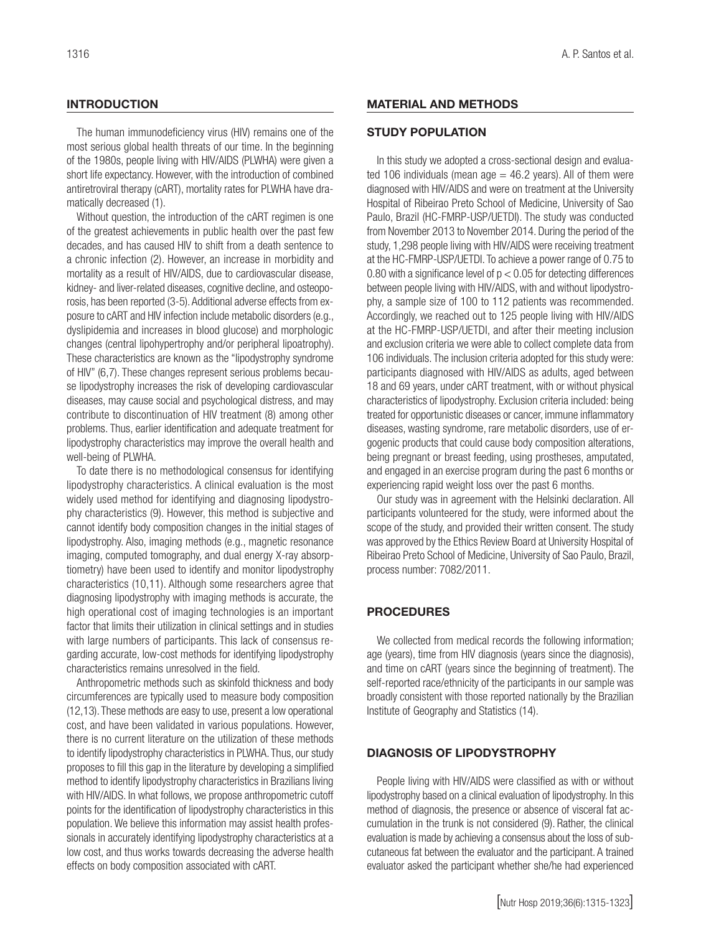## **INTRODUCTION**

The human immunodeficiency virus (HIV) remains one of the most serious global health threats of our time. In the beginning of the 1980s, people living with HIV/AIDS (PLWHA) were given a short life expectancy. However, with the introduction of combined antiretroviral therapy (cART), mortality rates for PLWHA have dramatically decreased (1).

Without question, the introduction of the cART regimen is one of the greatest achievements in public health over the past few decades, and has caused HIV to shift from a death sentence to a chronic infection (2). However, an increase in morbidity and mortality as a result of HIV/AIDS, due to cardiovascular disease, kidney- and liver-related diseases, cognitive decline, and osteoporosis, has been reported (3-5). Additional adverse effects from exposure to cART and HIV infection include metabolic disorders (e.g., dyslipidemia and increases in blood glucose) and morphologic changes (central lipohypertrophy and/or peripheral lipoatrophy). These characteristics are known as the "lipodystrophy syndrome of HIV" (6,7). These changes represent serious problems because lipodystrophy increases the risk of developing cardiovascular diseases, may cause social and psychological distress, and may contribute to discontinuation of HIV treatment (8) among other problems. Thus, earlier identification and adequate treatment for lipodystrophy characteristics may improve the overall health and well-being of PLWHA.

To date there is no methodological consensus for identifying lipodystrophy characteristics. A clinical evaluation is the most widely used method for identifying and diagnosing lipodystrophy characteristics (9). However, this method is subjective and cannot identify body composition changes in the initial stages of lipodystrophy. Also, imaging methods (e.g., magnetic resonance imaging, computed tomography, and dual energy X-ray absorptiometry) have been used to identify and monitor lipodystrophy characteristics (10,11). Although some researchers agree that diagnosing lipodystrophy with imaging methods is accurate, the high operational cost of imaging technologies is an important factor that limits their utilization in clinical settings and in studies with large numbers of participants. This lack of consensus regarding accurate, low-cost methods for identifying lipodystrophy characteristics remains unresolved in the field.

Anthropometric methods such as skinfold thickness and body circumferences are typically used to measure body composition (12,13). These methods are easy to use, present a low operational cost, and have been validated in various populations. However, there is no current literature on the utilization of these methods to identify lipodystrophy characteristics in PLWHA. Thus, our study proposes to fill this gap in the literature by developing a simplified method to identify lipodystrophy characteristics in Brazilians living with HIV/AIDS. In what follows, we propose anthropometric cutoff points for the identification of lipodystrophy characteristics in this population. We believe this information may assist health professionals in accurately identifying lipodystrophy characteristics at a low cost, and thus works towards decreasing the adverse health effects on body composition associated with cART.

#### MATERIAL AND METHODS

#### STUDY POPULATION

In this study we adopted a cross-sectional design and evaluated 106 individuals (mean age  $=$  46.2 years). All of them were diagnosed with HIV/AIDS and were on treatment at the University Hospital of Ribeirao Preto School of Medicine, University of Sao Paulo, Brazil (HC-FMRP-USP/UETDI). The study was conducted from November 2013 to November 2014. During the period of the study, 1,298 people living with HIV/AIDS were receiving treatment at the HC-FMRP-USP/UETDI. To achieve a power range of 0.75 to 0.80 with a significance level of  $p < 0.05$  for detecting differences between people living with HIV/AIDS, with and without lipodystrophy, a sample size of 100 to 112 patients was recommended. Accordingly, we reached out to 125 people living with HIV/AIDS at the HC-FMRP-USP/UETDI, and after their meeting inclusion and exclusion criteria we were able to collect complete data from 106 individuals. The inclusion criteria adopted for this study were: participants diagnosed with HIV/AIDS as adults, aged between 18 and 69 years, under cART treatment, with or without physical characteristics of lipodystrophy. Exclusion criteria included: being treated for opportunistic diseases or cancer, immune inflammatory diseases, wasting syndrome, rare metabolic disorders, use of ergogenic products that could cause body composition alterations, being pregnant or breast feeding, using prostheses, amputated, and engaged in an exercise program during the past 6 months or experiencing rapid weight loss over the past 6 months.

Our study was in agreement with the Helsinki declaration. All participants volunteered for the study, were informed about the scope of the study, and provided their written consent. The study was approved by the Ethics Review Board at University Hospital of Ribeirao Preto School of Medicine, University of Sao Paulo, Brazil, process number: 7082/2011.

#### PROCEDURES

We collected from medical records the following information; age (years), time from HIV diagnosis (years since the diagnosis), and time on cART (years since the beginning of treatment). The self-reported race/ethnicity of the participants in our sample was broadly consistent with those reported nationally by the Brazilian Institute of Geography and Statistics (14).

## DIAGNOSIS OF LIPODYSTROPHY

People living with HIV/AIDS were classified as with or without lipodystrophy based on a clinical evaluation of lipodystrophy. In this method of diagnosis, the presence or absence of visceral fat accumulation in the trunk is not considered (9). Rather, the clinical evaluation is made by achieving a consensus about the loss of subcutaneous fat between the evaluator and the participant. A trained evaluator asked the participant whether she/he had experienced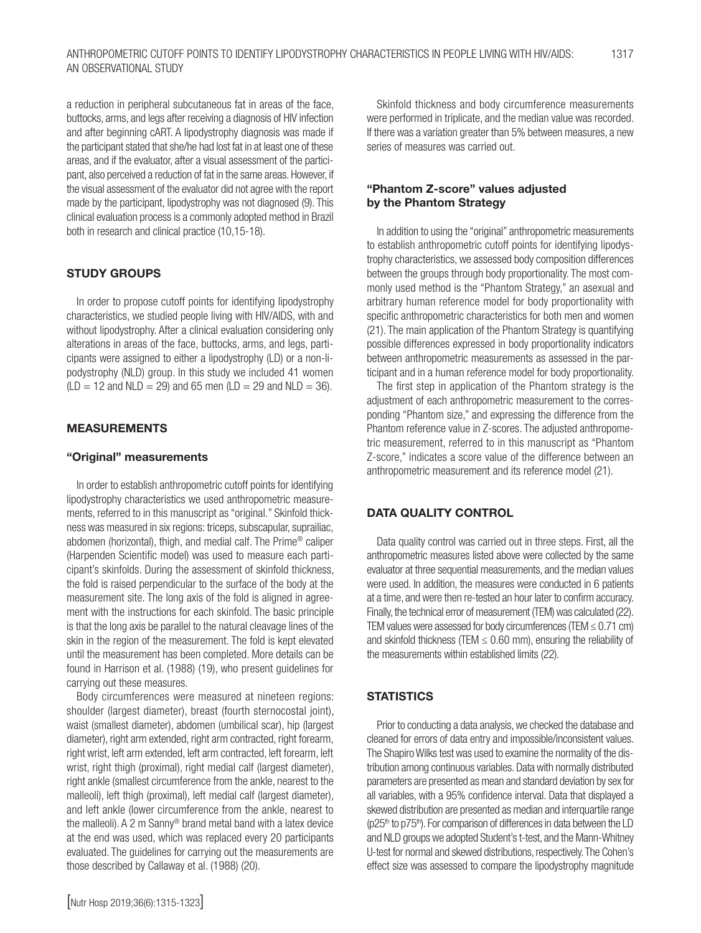a reduction in peripheral subcutaneous fat in areas of the face, buttocks, arms, and legs after receiving a diagnosis of HIV infection and after beginning cART. A lipodystrophy diagnosis was made if the participant stated that she/he had lost fat in at least one of these areas, and if the evaluator, after a visual assessment of the participant, also perceived a reduction of fat in the same areas. However, if the visual assessment of the evaluator did not agree with the report made by the participant, lipodystrophy was not diagnosed (9). This clinical evaluation process is a commonly adopted method in Brazil both in research and clinical practice (10,15-18).

## STUDY GROUPS

In order to propose cutoff points for identifying lipodystrophy characteristics, we studied people living with HIV/AIDS, with and without lipodystrophy. After a clinical evaluation considering only alterations in areas of the face, buttocks, arms, and legs, participants were assigned to either a lipodystrophy (LD) or a non-lipodystrophy (NLD) group. In this study we included 41 women  $(LD = 12$  and  $NLD = 29$ ) and 65 men  $(LD = 29$  and  $NLD = 36)$ .

#### MEASUREMENTS

#### "Original" measurements

In order to establish anthropometric cutoff points for identifying lipodystrophy characteristics we used anthropometric measurements, referred to in this manuscript as "original." Skinfold thickness was measured in six regions: triceps, subscapular, suprailiac, abdomen (horizontal), thigh, and medial calf. The Prime® caliper (Harpenden Scientific model) was used to measure each participant's skinfolds. During the assessment of skinfold thickness, the fold is raised perpendicular to the surface of the body at the measurement site. The long axis of the fold is aligned in agreement with the instructions for each skinfold. The basic principle is that the long axis be parallel to the natural cleavage lines of the skin in the region of the measurement. The fold is kept elevated until the measurement has been completed. More details can be found in Harrison et al. (1988) (19), who present guidelines for carrying out these measures.

Body circumferences were measured at nineteen regions: shoulder (largest diameter), breast (fourth sternocostal joint), waist (smallest diameter), abdomen (umbilical scar), hip (largest diameter), right arm extended, right arm contracted, right forearm, right wrist, left arm extended, left arm contracted, left forearm, left wrist, right thigh (proximal), right medial calf (largest diameter), right ankle (smallest circumference from the ankle, nearest to the malleoli), left thigh (proximal), left medial calf (largest diameter), and left ankle (lower circumference from the ankle, nearest to the malleoli). A 2 m Sanny® brand metal band with a latex device at the end was used, which was replaced every 20 participants evaluated. The guidelines for carrying out the measurements are those described by Callaway et al. (1988) (20).

#### "Phantom Z-score" values adjusted by the Phantom Strategy

In addition to using the "original" anthropometric measurements to establish anthropometric cutoff points for identifying lipodystrophy characteristics, we assessed body composition differences between the groups through body proportionality. The most commonly used method is the "Phantom Strategy," an asexual and arbitrary human reference model for body proportionality with specific anthropometric characteristics for both men and women (21). The main application of the Phantom Strategy is quantifying possible differences expressed in body proportionality indicators between anthropometric measurements as assessed in the participant and in a human reference model for body proportionality.

The first step in application of the Phantom strategy is the adjustment of each anthropometric measurement to the corresponding "Phantom size," and expressing the difference from the Phantom reference value in Z-scores. The adjusted anthropometric measurement, referred to in this manuscript as "Phantom Z-score," indicates a score value of the difference between an anthropometric measurement and its reference model (21).

#### DATA QUALITY CONTROL

Data quality control was carried out in three steps. First, all the anthropometric measures listed above were collected by the same evaluator at three sequential measurements, and the median values were used. In addition, the measures were conducted in 6 patients at a time, and were then re-tested an hour later to confirm accuracy. Finally, the technical error of measurement (TEM) was calculated (22). TEM values were assessed for body circumferences (TEM  $\leq$  0.71 cm) and skinfold thickness (TEM  $\leq$  0.60 mm), ensuring the reliability of the measurements within established limits (22).

## **STATISTICS**

Prior to conducting a data analysis, we checked the database and cleaned for errors of data entry and impossible/inconsistent values. The Shapiro Wilks test was used to examine the normality of the distribution among continuous variables. Data with normally distributed parameters are presented as mean and standard deviation by sex for all variables, with a 95% confidence interval. Data that displayed a skewed distribution are presented as median and interquartile range  $(p25<sup>th</sup>$  to  $p75<sup>th</sup>$ ). For comparison of differences in data between the LD and NLD groups we adopted Student's t-test, and the Mann-Whitney U-test for normal and skewed distributions, respectively. The Cohen's effect size was assessed to compare the lipodystrophy magnitude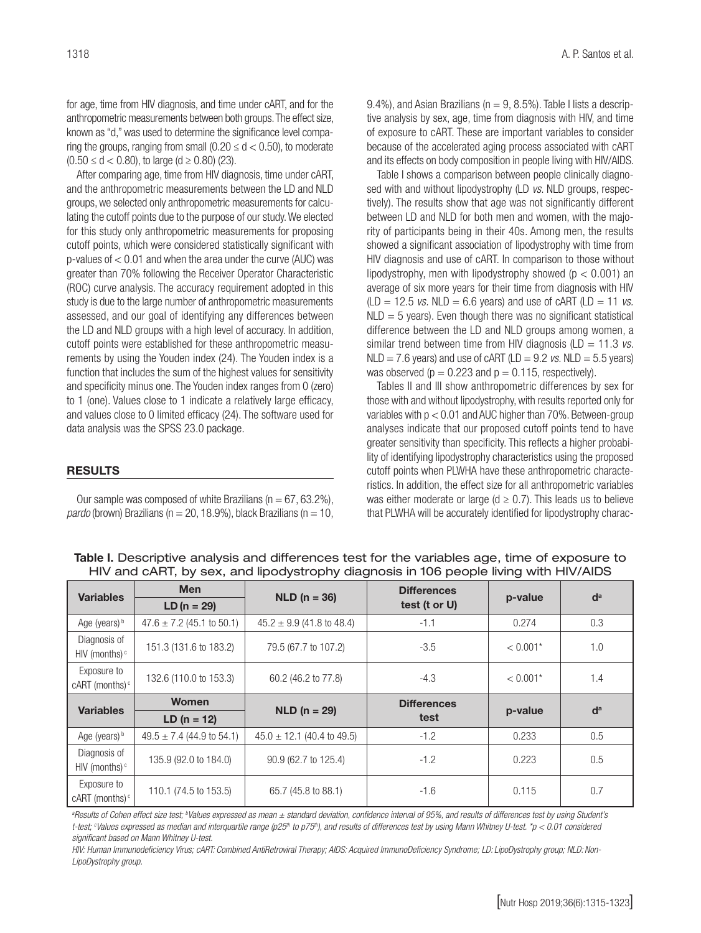for age, time from HIV diagnosis, and time under cART, and for the anthropometric measurements between both groups. The effect size, known as "d," was used to determine the significance level comparing the groups, ranging from small  $(0.20 \le d < 0.50)$ , to moderate  $(0.50 \le d < 0.80)$ , to large  $(d \ge 0.80)$  (23).

After comparing age, time from HIV diagnosis, time under cART, and the anthropometric measurements between the LD and NLD groups, we selected only anthropometric measurements for calculating the cutoff points due to the purpose of our study. We elected for this study only anthropometric measurements for proposing cutoff points, which were considered statistically significant with p-values of < 0.01 and when the area under the curve (AUC) was greater than 70% following the Receiver Operator Characteristic (ROC) curve analysis. The accuracy requirement adopted in this study is due to the large number of anthropometric measurements assessed, and our goal of identifying any differences between the LD and NLD groups with a high level of accuracy. In addition, cutoff points were established for these anthropometric measurements by using the Youden index (24). The Youden index is a function that includes the sum of the highest values for sensitivity and specificity minus one. The Youden index ranges from 0 (zero) to 1 (one). Values close to 1 indicate a relatively large efficacy, and values close to 0 limited efficacy (24). The software used for data analysis was the SPSS 23.0 package.

#### RESULTS

Our sample was composed of white Brazilians ( $n = 67, 63.2\%$ ),  $\textit{pardo}$  (brown) Brazilians (n = 20, 18.9%), black Brazilians (n = 10, 9.4%), and Asian Brazilians ( $n = 9$ , 8.5%). Table I lists a descriptive analysis by sex, age, time from diagnosis with HIV, and time of exposure to cART. These are important variables to consider because of the accelerated aging process associated with cART and its effects on body composition in people living with HIV/AIDS.

Table I shows a comparison between people clinically diagnosed with and without lipodystrophy (LD *vs*. NLD groups, respectively). The results show that age was not significantly different between LD and NLD for both men and women, with the majority of participants being in their 40s. Among men, the results showed a significant association of lipodystrophy with time from HIV diagnosis and use of cART. In comparison to those without lipodystrophy, men with lipodystrophy showed ( $p < 0.001$ ) an average of six more years for their time from diagnosis with HIV  $(LD = 12.5 \text{ vs. } NLD = 6.6 \text{ years})$  and use of cART  $(LD = 11 \text{ vs. } NLD = 6.6 \text{ years})$  $NLD = 5$  years). Even though there was no significant statistical difference between the LD and NLD groups among women, a similar trend between time from HIV diagnosis (LD = 11.3 *vs.*  $NLD = 7.6$  years) and use of cART ( $LD = 9.2$  *vs.*  $NLD = 5.5$  years) was observed ( $p = 0.223$  and  $p = 0.115$ , respectively).

Tables II and III show anthropometric differences by sex for those with and without lipodystrophy, with results reported only for variables with p < 0.01 and AUC higher than 70%. Between-group analyses indicate that our proposed cutoff points tend to have greater sensitivity than specificity. This reflects a higher probability of identifying lipodystrophy characteristics using the proposed cutoff points when PLWHA have these anthropometric characteristics. In addition, the effect size for all anthropometric variables was either moderate or large ( $d \ge 0.7$ ). This leads us to believe that PLWHA will be accurately identified for lipodystrophy charac-

|                                           |                               |                                |                                     | ັ          |       |  |
|-------------------------------------------|-------------------------------|--------------------------------|-------------------------------------|------------|-------|--|
| <b>Variables</b>                          | <b>Men</b><br>$LD (n = 29)$   | $NLD (n = 36)$                 | <b>Differences</b><br>test (t or U) | p-value    | $d^a$ |  |
| Age (years) b                             | $47.6 \pm 7.2$ (45.1 to 50.1) | $45.2 \pm 9.9$ (41.8 to 48.4)  | $-1.1$                              | 0.274      | 0.3   |  |
| Diagnosis of<br>HIV (months) <sup>c</sup> | 151.3 (131.6 to 183.2)        | 79.5 (67.7 to 107.2)           | $-3.5$                              | $< 0.001*$ | 1.0   |  |
| Exposure to<br>cART (months) <sup>c</sup> | 132.6 (110.0 to 153.3)        | 60.2 (46.2 to 77.8)            | $-4.3$                              | $< 0.001*$ | 1.4   |  |
|                                           | <b>Women</b>                  |                                | <b>Differences</b>                  |            |       |  |
| <b>Variables</b>                          | $LD (n = 12)$                 | $NLD (n = 29)$                 | test                                | p-value    | $d^a$ |  |
| Age (years) b                             | $49.5 \pm 7.4$ (44.9 to 54.1) | $45.0 \pm 12.1$ (40.4 to 49.5) | $-1.2$                              | 0.233      | 0.5   |  |
| Diagnosis of<br>HIV (months) $\circ$      | 135.9 (92.0 to 184.0)         | 90.9 (62.7 to 125.4)           | $-1.2$                              | 0.223      | 0.5   |  |
| Exposure to<br>cART (months) <sup>c</sup> | 110.1 (74.5 to 153.5)         | 65.7 (45.8 to 88.1)            | $-1.6$                              | 0.115      | 0.7   |  |

Table I. Descriptive analysis and differences test for the variables age, time of exposure to HIV and cART, by sex, and lipodystrophy diagnosis in 106 people living with HIV/AIDS

*a Results of Cohen effect size test; b Values expressed as mean ± standard deviation, confidence interval of 95%, and results of differences test by using Student's*  t-test; <sup>c</sup>Values expressed as median and interquartile range (p25th to p75th), and results of differences test by using Mann Whitney U-test. \*p < 0.01 considered *significant based on Mann Whitney U-test.*

*HIV: Human Immunodeficiency Virus; cART: Combined AntiRetroviral Therapy; AIDS: Acquired ImmunoDeficiency Syndrome; LD: LipoDystrophy group; NLD: Non-LipoDystrophy group.*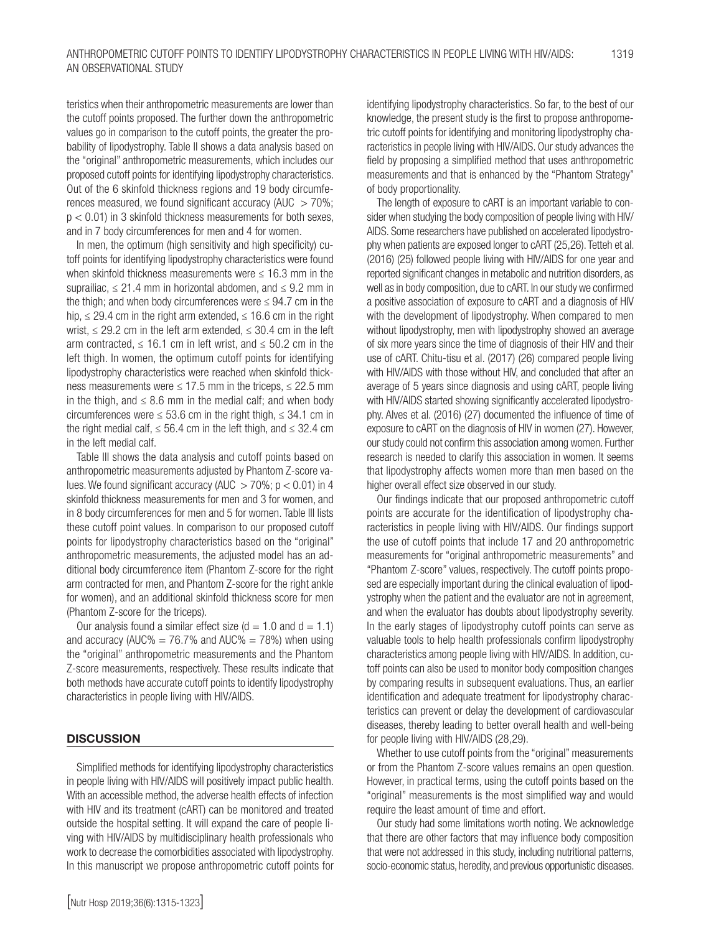teristics when their anthropometric measurements are lower than the cutoff points proposed. The further down the anthropometric values go in comparison to the cutoff points, the greater the probability of lipodystrophy. Table II shows a data analysis based on the "original" anthropometric measurements, which includes our proposed cutoff points for identifying lipodystrophy characteristics. Out of the 6 skinfold thickness regions and 19 body circumferences measured, we found significant accuracy (AUC  $>$  70%;  $p < 0.01$ ) in 3 skinfold thickness measurements for both sexes, and in 7 body circumferences for men and 4 for women.

In men, the optimum (high sensitivity and high specificity) cutoff points for identifying lipodystrophy characteristics were found when skinfold thickness measurements were  $\leq$  16.3 mm in the suprailiac,  $\leq$  21.4 mm in horizontal abdomen, and  $\leq$  9.2 mm in the thigh; and when body circumferences were  $\leq$  94.7 cm in the hip,  $\leq$  29.4 cm in the right arm extended,  $\leq$  16.6 cm in the right wrist,  $\leq$  29.2 cm in the left arm extended,  $\leq$  30.4 cm in the left arm contracted,  $\leq 16.1$  cm in left wrist, and  $\leq 50.2$  cm in the left thigh. In women, the optimum cutoff points for identifying lipodystrophy characteristics were reached when skinfold thickness measurements were  $\leq 17.5$  mm in the triceps,  $\leq 22.5$  mm in the thigh, and  $\leq 8.6$  mm in the medial calf; and when body circumferences were  $\leq 53.6$  cm in the right thigh,  $\leq 34.1$  cm in the right medial calf,  $\leq$  56.4 cm in the left thigh, and  $\leq$  32.4 cm in the left medial calf.

Table III shows the data analysis and cutoff points based on anthropometric measurements adjusted by Phantom Z-score values. We found significant accuracy (AUC  $>$  70%; p  $<$  0.01) in 4 skinfold thickness measurements for men and 3 for women, and in 8 body circumferences for men and 5 for women. Table III lists these cutoff point values. In comparison to our proposed cutoff points for lipodystrophy characteristics based on the "original" anthropometric measurements, the adjusted model has an additional body circumference item (Phantom Z-score for the right arm contracted for men, and Phantom Z-score for the right ankle for women), and an additional skinfold thickness score for men (Phantom Z-score for the triceps).

Our analysis found a similar effect size ( $d = 1.0$  and  $d = 1.1$ ) and accuracy (AUC% =  $76.7%$  and AUC% =  $78%$ ) when using the "original" anthropometric measurements and the Phantom Z-score measurements, respectively. These results indicate that both methods have accurate cutoff points to identify lipodystrophy characteristics in people living with HIV/AIDS.

#### **DISCUSSION**

Simplified methods for identifying lipodystrophy characteristics in people living with HIV/AIDS will positively impact public health. With an accessible method, the adverse health effects of infection with HIV and its treatment (cART) can be monitored and treated outside the hospital setting. It will expand the care of people living with HIV/AIDS by multidisciplinary health professionals who work to decrease the comorbidities associated with lipodystrophy. In this manuscript we propose anthropometric cutoff points for identifying lipodystrophy characteristics. So far, to the best of our knowledge, the present study is the first to propose anthropometric cutoff points for identifying and monitoring lipodystrophy characteristics in people living with HIV/AIDS. Our study advances the field by proposing a simplified method that uses anthropometric measurements and that is enhanced by the "Phantom Strategy" of body proportionality.

The length of exposure to cART is an important variable to consider when studying the body composition of people living with HIV/ AIDS. Some researchers have published on accelerated lipodystrophy when patients are exposed longer to cART (25,26). Tetteh et al. (2016) (25) followed people living with HIV/AIDS for one year and reported significant changes in metabolic and nutrition disorders, as well as in body composition, due to cART. In our study we confirmed a positive association of exposure to cART and a diagnosis of HIV with the development of lipodystrophy. When compared to men without lipodystrophy, men with lipodystrophy showed an average of six more years since the time of diagnosis of their HIV and their use of cART. Chitu-tisu et al. (2017) (26) compared people living with HIV/AIDS with those without HIV, and concluded that after an average of 5 years since diagnosis and using cART, people living with HIV/AIDS started showing significantly accelerated lipodystrophy. Alves et al. (2016) (27) documented the influence of time of exposure to cART on the diagnosis of HIV in women (27). However, our study could not confirm this association among women. Further research is needed to clarify this association in women. It seems that lipodystrophy affects women more than men based on the higher overall effect size observed in our study.

Our findings indicate that our proposed anthropometric cutoff points are accurate for the identification of lipodystrophy characteristics in people living with HIV/AIDS. Our findings support the use of cutoff points that include 17 and 20 anthropometric measurements for "original anthropometric measurements" and "Phantom Z-score" values, respectively. The cutoff points proposed are especially important during the clinical evaluation of lipodystrophy when the patient and the evaluator are not in agreement, and when the evaluator has doubts about lipodystrophy severity. In the early stages of lipodystrophy cutoff points can serve as valuable tools to help health professionals confirm lipodystrophy characteristics among people living with HIV/AIDS. In addition, cutoff points can also be used to monitor body composition changes by comparing results in subsequent evaluations. Thus, an earlier identification and adequate treatment for lipodystrophy characteristics can prevent or delay the development of cardiovascular diseases, thereby leading to better overall health and well-being for people living with HIV/AIDS (28,29).

Whether to use cutoff points from the "original" measurements or from the Phantom Z-score values remains an open question. However, in practical terms, using the cutoff points based on the "original" measurements is the most simplified way and would require the least amount of time and effort.

Our study had some limitations worth noting. We acknowledge that there are other factors that may influence body composition that were not addressed in this study, including nutritional patterns, socio-economic status, heredity, and previous opportunistic diseases.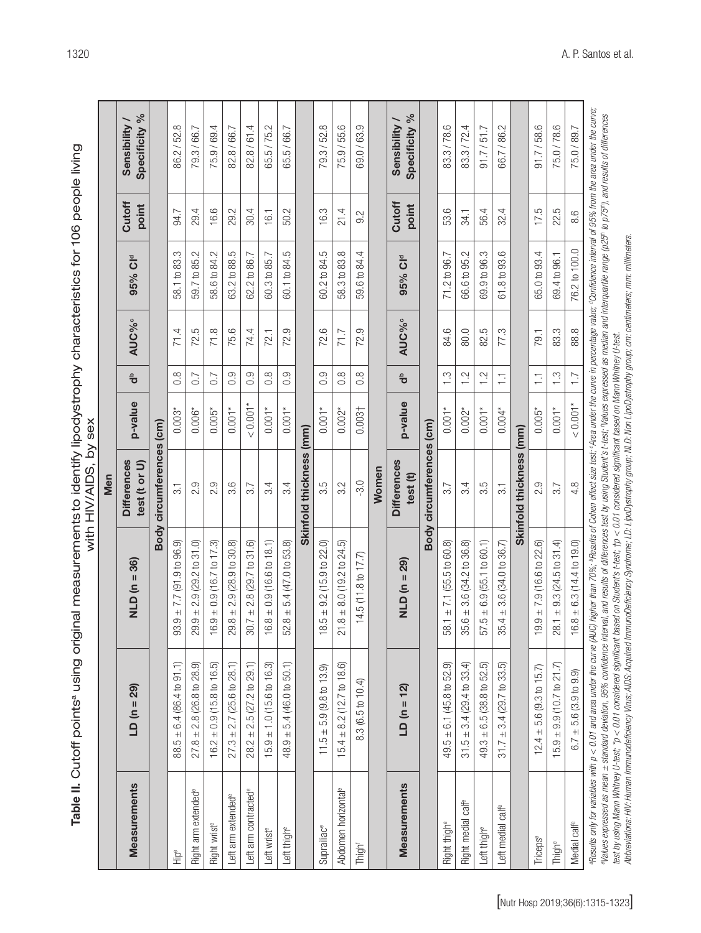|                                 |                                                                                                                                                                                                                                                                                                                                                                                                                                                                                                                                                                                                                                   |                                                                                                                                                            | Men                                 |                |                    |                          |                 |                 |                                |
|---------------------------------|-----------------------------------------------------------------------------------------------------------------------------------------------------------------------------------------------------------------------------------------------------------------------------------------------------------------------------------------------------------------------------------------------------------------------------------------------------------------------------------------------------------------------------------------------------------------------------------------------------------------------------------|------------------------------------------------------------------------------------------------------------------------------------------------------------|-------------------------------------|----------------|--------------------|--------------------------|-----------------|-----------------|--------------------------------|
| Measurements                    | $LD(n = 29)$                                                                                                                                                                                                                                                                                                                                                                                                                                                                                                                                                                                                                      | $NLD(n = 36)$                                                                                                                                              | <b>Differences</b><br>test (t or U) | p-value        | $\frac{a}{\sigma}$ | <b>AUC%</b> <sup>c</sup> | 95% Cld         | Cutoff<br>point | Specificity %<br>Sensibility / |
|                                 |                                                                                                                                                                                                                                                                                                                                                                                                                                                                                                                                                                                                                                   | <b>Body</b>                                                                                                                                                | circumferences (cm)                 |                |                    |                          |                 |                 |                                |
| Hip <sup>e</sup>                | $88.5 \pm 6.4 (86.4 \text{ to } 91.1)$                                                                                                                                                                                                                                                                                                                                                                                                                                                                                                                                                                                            | 7.7 (91.9 to 96.9)<br>$+$<br>$\circ$<br>93.                                                                                                                | $\overline{3}$ .                    | $0.003*$       | $0.\overline{8}$   | 71.4                     | 58.1 to 83.3    | 94.7            | 86.2/52.8                      |
| Right arm extended <sup>e</sup> | $\pm 2.8$ (26.8 to 28.9)<br>27.8                                                                                                                                                                                                                                                                                                                                                                                                                                                                                                                                                                                                  | $2.9(29.2 \text{ to } 31.0)$<br>$+1$<br>29.                                                                                                                | 2.9                                 | $0.006*$       | 0.7                | 72.5                     | 59.7 to 85.2    | 29.4            | 79.3/66.7                      |
| Right wrist <sup>e</sup>        | $\pm 0.9$ (15.8 to 16.5)<br>16.2                                                                                                                                                                                                                                                                                                                                                                                                                                                                                                                                                                                                  | $0.9(16.7 \text{ to } 17.3)$<br>$\ddot{+}$<br>ာ.<br>$\frac{6}{1}$                                                                                          | 2.9                                 | $0.005*$       | 0.7                | 71.8                     | 58.6 to 84.2    | 16.6            | 75.9/69.4                      |
| eft arm extended <sup>e</sup>   | $27.3 \pm 2.7$ (25.6 to 28.1)                                                                                                                                                                                                                                                                                                                                                                                                                                                                                                                                                                                                     | $2.9(28.9 \text{ to } 30.8)$<br>$\frac{+1}{\infty}$<br>29.                                                                                                 | 3.6                                 | $0.001*$       | 0.9                | 75.6                     | 63.2 to 88.5    | 29.2            | 82.8 / 66.7                    |
| eft arm contracted <sup>®</sup> | $\pm 2.5(27.2$ to 29.1)<br>28.2                                                                                                                                                                                                                                                                                                                                                                                                                                                                                                                                                                                                   | 2.8 (29.7 to 31.6)<br>$+1$<br>$\sum_{i=1}^{n}$<br>$\overline{5}$                                                                                           | 3.7                                 | $< 0.001*$     | 0.9                | 74.4                     | 62.2 to 86.7    | 30.4            | 82.8/61.4                      |
| -eft wrist <sup>e</sup>         | $15.9 \pm 1.0$ (15.6 to 16.3)                                                                                                                                                                                                                                                                                                                                                                                                                                                                                                                                                                                                     | $.8 \pm 0.9$ (16.6 to 18.1)<br>$\frac{6}{1}$                                                                                                               | 3.4                                 | $0.001*$       | $0.\overline{8}$   | 72.1                     | 60.3 to 85.7    | 16.1            | 65.5/75.2                      |
| Left thigh <sup>e</sup>         | 5.4 (46.0 to 50.1)<br>$+$<br>48.9                                                                                                                                                                                                                                                                                                                                                                                                                                                                                                                                                                                                 | to 53.8)<br>5.4 (47.0<br>$+$<br>œ<br>S.                                                                                                                    | 3.4                                 | $0.001*$       | 0.9                | 72.9                     | to 84.5<br>60.1 | 50.2            | 65.5 / 66.7                    |
|                                 |                                                                                                                                                                                                                                                                                                                                                                                                                                                                                                                                                                                                                                   |                                                                                                                                                            | Skinfold thickness (mm)             |                |                    |                          |                 |                 |                                |
| Suprailiac <sup>e</sup>         | $11.5 \pm 5.9$ (9.8 to 13.9)                                                                                                                                                                                                                                                                                                                                                                                                                                                                                                                                                                                                      | 9.2(15.9 to 22.0)<br>$+$<br>LO<br>$\frac{\infty}{\infty}$                                                                                                  | 3.5                                 | $0.001*$       | 0.9                | 72.6                     | 60.2 to 84.5    | 16.3            | 79.3 / 52.8                    |
| Abdomen horizontal <sup>e</sup> | $15.4 \pm 8.2$ (12.7 to 18.6)                                                                                                                                                                                                                                                                                                                                                                                                                                                                                                                                                                                                     | $8 \pm 8.0$ (19.2 to 24.5)<br>$\overline{c}$                                                                                                               | 3.2                                 | $0.002*$       | $0.\overline{8}$   | 71.7                     | 58.3 to 83.8    | 21.4            | 75.9/55.6                      |
| Thight                          | 8.3 (6.5 to 10.4)                                                                                                                                                                                                                                                                                                                                                                                                                                                                                                                                                                                                                 | 17.7<br>14.5(11.8 to                                                                                                                                       | $-3.0$                              | $0.003\dagger$ | 0.8                | 72.9                     | 59.6 to 84.4    | 9.2             | 69.0/63.9                      |
|                                 |                                                                                                                                                                                                                                                                                                                                                                                                                                                                                                                                                                                                                                   |                                                                                                                                                            | Women                               |                |                    |                          |                 |                 |                                |
| Measurements                    | $LD(n = 12)$                                                                                                                                                                                                                                                                                                                                                                                                                                                                                                                                                                                                                      | $NLD (n = 29)$                                                                                                                                             | <b>Differences</b><br>test (t)      | p-value        | $\frac{a}{\sigma}$ | <b>AUC%</b> <sup>c</sup> | 95% Cld         | Cutoff<br>point | Specificity %<br>Sensibility / |
|                                 |                                                                                                                                                                                                                                                                                                                                                                                                                                                                                                                                                                                                                                   | Body                                                                                                                                                       | circumferences (cm)                 |                |                    |                          |                 |                 |                                |
| Right thigh <sup>e</sup>        | $49.5 \pm 6.1$ (45.8 to 52.9)                                                                                                                                                                                                                                                                                                                                                                                                                                                                                                                                                                                                     | $58.1 \pm 7.1$ (55.5 to 60.8)                                                                                                                              | 3.7                                 | $0.001*$       | $\frac{3}{1}$      | 84.6                     | 71.2 to 96.7    | 53.6            | 83.3/78.6                      |
| Right medial calfe              | $\pm$ 3.4 (29.4 to 33.4)<br>31.5                                                                                                                                                                                                                                                                                                                                                                                                                                                                                                                                                                                                  | 3.6 (34.2 to 36.8)<br>$+$<br>35.                                                                                                                           | 3.4                                 | $0.002*$       | 1.2                | 80.0                     | 66.6 to 95.2    | 34.1            | 83.3/72.4                      |
| -eft thigh <sup>e</sup>         | $\pm 6.5$ (38.8 to 52.5)<br>49.3                                                                                                                                                                                                                                                                                                                                                                                                                                                                                                                                                                                                  | $.5 \pm 6.9$ (55.1 to 60.1)<br>75                                                                                                                          | 3.5                                 | $0.001*$       | $\frac{2}{1}$      | 82.5                     | 69.9 to 96.3    | 56.4            | 91.7 / 51.7                    |
| Left medial calf <sup>e</sup>   | $3.4(29.7 \text{ to } 33.5)$<br>$+1$<br>31.7                                                                                                                                                                                                                                                                                                                                                                                                                                                                                                                                                                                      | 3.6(34.0 to 36.7)<br>$rac{+}{4}$<br>35.                                                                                                                    | $\overline{3}$                      | $0.004*$       | Ξ                  | 77.3                     | 61.8 to 93.6    | 32.4            | 66.7/86.2                      |
|                                 |                                                                                                                                                                                                                                                                                                                                                                                                                                                                                                                                                                                                                                   |                                                                                                                                                            | Skinfold thickness (mm)             |                |                    |                          |                 |                 |                                |
| Triceps <sup>e</sup>            | $12.4 \pm 5.6$ (9.3 to 15.7)                                                                                                                                                                                                                                                                                                                                                                                                                                                                                                                                                                                                      | $19.9 \pm 7.9$ (16.6 to 22.6)                                                                                                                              | 2.9                                 | $0.005*$       | H                  | 79.1                     | 65.0 to 93.4    | 17.5            | 91.7/58.6                      |
| Thigh <sup>e</sup>              | $\pm$ 9.9 (10.7 to 21.7)<br>15.9                                                                                                                                                                                                                                                                                                                                                                                                                                                                                                                                                                                                  | $9.3(24.5 \text{ to } 31.4)$<br>$28.1 \pm 9$                                                                                                               | 3.7                                 | $0.001*$       | $\frac{3}{1}$      | 83.3                     | 69.4 to 96.1    | 22.5            | 75.0/78.6                      |
| Medial calfe                    | $6.7 \pm 5.6$ (3.9 to 9.9)                                                                                                                                                                                                                                                                                                                                                                                                                                                                                                                                                                                                        | $.8 \pm 6.3$ (14.4 to 19.0)<br>$\frac{6}{1}$                                                                                                               | 4.8                                 | $< 0.001*$     | $\overline{1.7}$   | 88.8                     | 76.2 to 100.0   | 8.6             | 75.0/89.7                      |
|                                 | Results only for variables with p < 0.01 and area under the curve (AUC) higher than 70%. Results of Cohen effect size test; Area under the curve in percentage value; "Confidence interval of 95% from the area under the curv<br>elalues expressed as mean ± standard deviation, 95% confidence intendonce into not of differences test by using Student's t-test; 'Values expressed as median and interquartile range (p25®; to p75®), and results of differen<br>test by using Mann Whitney U-test; *p < 0.01 considered significant based on Student's t-test; †p < 0.01 considered significant based on Mann Whitney U-test. | Abbevätions: HIV: Human Immunodeficiency Virus: ADS: Accuired ImmunoDeficiency Syndroms: LD: LivoDystrood NUD: NuD: NuD: Om: centineters: mm: millimeters: |                                     |                |                    |                          |                 |                 |                                |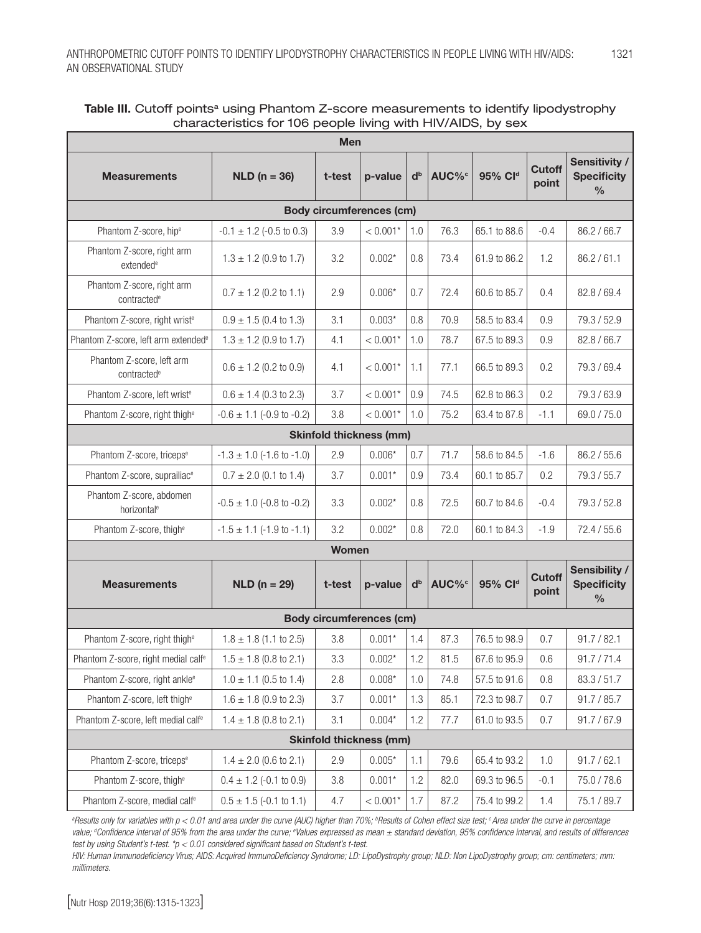| <b>Men</b>                                            |                               |        |            |                |                   |                     |                        |                                                      |
|-------------------------------------------------------|-------------------------------|--------|------------|----------------|-------------------|---------------------|------------------------|------------------------------------------------------|
| <b>Measurements</b>                                   | $NLD (n = 36)$                | t-test | p-value    | d <sub>b</sub> | AUC% <sup>c</sup> | 95% Cld             | <b>Cutoff</b><br>point | Sensitivity /<br><b>Specificity</b><br>$\frac{0}{0}$ |
| <b>Body circumferences (cm)</b>                       |                               |        |            |                |                   |                     |                        |                                                      |
| Phantom Z-score, hip <sup>e</sup>                     | $-0.1 \pm 1.2$ (-0.5 to 0.3)  | 3.9    | $< 0.001*$ | 1.0            | 76.3              | 65.1 to 88.6        | $-0.4$                 | 86.2 / 66.7                                          |
| Phantom Z-score, right arm<br>extended <sup>e</sup>   | $1.3 \pm 1.2$ (0.9 to 1.7)    | 3.2    | $0.002*$   | 0.8            | 73.4              | 61.9 to 86.2        | 1.2                    | 86.2 / 61.1                                          |
| Phantom Z-score, right arm<br>contracted <sup>e</sup> | $0.7 \pm 1.2$ (0.2 to 1.1)    | 2.9    | $0.006*$   | 0.7            | 72.4              | 60.6 to 85.7        | 0.4                    | 82.8 / 69.4                                          |
| Phantom Z-score, right wrist <sup>e</sup>             | $0.9 \pm 1.5$ (0.4 to 1.3)    | 3.1    | $0.003*$   | 0.8            | 70.9              | 58.5 to 83.4        | 0.9                    | 79.3 / 52.9                                          |
| Phantom Z-score, left arm extended <sup>e</sup>       | $1.3 \pm 1.2$ (0.9 to 1.7)    | 4.1    | $< 0.001*$ | 1.0            | 78.7              | 67.5 to 89.3        | 0.9                    | 82.8 / 66.7                                          |
| Phantom Z-score, left arm<br>contracted <sup>e</sup>  | $0.6 \pm 1.2$ (0.2 to 0.9)    | 4.1    | $< 0.001*$ | 1.1            | 77.1              | 66.5 to 89.3        | 0.2                    | 79.3 / 69.4                                          |
| Phantom Z-score, left wrist <sup>e</sup>              | $0.6 \pm 1.4$ (0.3 to 2.3)    | 3.7    | $< 0.001*$ | 0.9            | 74.5              | 62.8 to 86.3        | 0.2                    | 79.3 / 63.9                                          |
| Phantom Z-score, right thigh <sup>e</sup>             | $-0.6 \pm 1.1$ (-0.9 to -0.2) | 3.8    | $< 0.001*$ | 1.0            | 75.2              | 63.4 to 87.8        | $-1.1$                 | 69.0 / 75.0                                          |
| <b>Skinfold thickness (mm)</b>                        |                               |        |            |                |                   |                     |                        |                                                      |
| Phantom Z-score, triceps <sup>e</sup>                 | $-1.3 \pm 1.0$ (-1.6 to -1.0) | 2.9    | $0.006*$   | 0.7            | 71.7              | 58.6 to 84.5        | $-1.6$                 | 86.2 / 55.6                                          |
| Phantom Z-score, suprailiac <sup>e</sup>              | $0.7 \pm 2.0$ (0.1 to 1.4)    | 3.7    | $0.001*$   | 0.9            | 73.4              | 60.1 to 85.7        | 0.2                    | 79.3 / 55.7                                          |
| Phantom Z-score, abdomen<br>horizontal <sup>e</sup>   | $-0.5 \pm 1.0$ (-0.8 to -0.2) | 3.3    | $0.002*$   | 0.8            | 72.5              | 60.7 to 84.6        | $-0.4$                 | 79.3 / 52.8                                          |
| Phantom Z-score, thigh <sup>e</sup>                   | $-1.5 \pm 1.1$ (-1.9 to -1.1) | 3.2    | $0.002*$   | 0.8            | 72.0              | 60.1 to 84.3        | $-1.9$                 | 72.4 / 55.6                                          |
| <b>Women</b>                                          |                               |        |            |                |                   |                     |                        |                                                      |
| <b>Measurements</b>                                   | $NLD (n = 29)$                | t-test | p-value    | d <sub>b</sub> | AUC% <sup>c</sup> | 95% Cl <sup>d</sup> | <b>Cutoff</b><br>point | Sensibility /<br><b>Specificity</b><br>$\frac{0}{0}$ |
| <b>Body circumferences (cm)</b>                       |                               |        |            |                |                   |                     |                        |                                                      |
| Phantom Z-score, right thigh <sup>e</sup>             | $1.8 \pm 1.8$ (1.1 to 2.5)    | 3.8    | $0.001*$   | 1.4            | 87.3              | 76.5 to 98.9        | 0.7                    | 91.7 / 82.1                                          |
| Phantom Z-score, right medial calf <sup>e</sup>       | $1.5 \pm 1.8$ (0.8 to 2.1)    | 3.3    | $0.002*$   | 1.2            | 81.5              | 67.6 to 95.9        | $0.6\,$                | 91.7 / 71.4                                          |
| Phantom Z-score, right ankle <sup>e</sup>             | $1.0 \pm 1.1$ (0.5 to 1.4)    | 2.8    | $0.008*$   | 1.0            | 74.8              | 57.5 to 91.6        | 0.8                    | 83.3 / 51.7                                          |
| Phantom Z-score, left thigh <sup>e</sup>              | $1.6 \pm 1.8$ (0.9 to 2.3)    | 3.7    | $0.001*$   | 1.3            | 85.1              | 72.3 to 98.7        | 0.7                    | 91.7 / 85.7                                          |
| Phantom Z-score, left medial calf <sup>e</sup>        | $1.4 \pm 1.8$ (0.8 to 2.1)    | 3.1    | $0.004*$   | 1.2            | 77.7              | 61.0 to 93.5        | 0.7                    | 91.7 / 67.9                                          |
| <b>Skinfold thickness (mm)</b>                        |                               |        |            |                |                   |                     |                        |                                                      |
| Phantom Z-score, triceps <sup>e</sup>                 | $1.4 \pm 2.0$ (0.6 to 2.1)    | 2.9    | $0.005*$   | 1.1            | 79.6              | 65.4 to 93.2        | 1.0                    | 91.7 / 62.1                                          |
| Phantom Z-score, thigh <sup>e</sup>                   | $0.4 \pm 1.2$ (-0.1 to 0.9)   | 3.8    | $0.001*$   | 1.2            | 82.0              | 69.3 to 96.5        | $-0.1$                 | 75.0 / 78.6                                          |
| Phantom Z-score, medial calfe                         | $0.5 \pm 1.5$ (-0.1 to 1.1)   | 4.7    | $< 0.001*$ | 1.7            | 87.2              | 75.4 to 99.2        | 1.4                    | 75.1 / 89.7                                          |

| Table III. Cutoff points <sup>a</sup> using Phantom Z-score measurements to identify lipodystrophy |  |
|----------------------------------------------------------------------------------------------------|--|
| characteristics for 106 people living with HIV/AIDS, by sex                                        |  |

<sup>a</sup> Results only for variables with p < 0.01 and area under the curve (AUC) higher than 70%; "Results of Cohen effect size test; <sup>c</sup> Area under the curve in percentage value; <sup>a</sup>Confidence interval of 95% from the area under the curve; <sup>e</sup>Values expressed as mean ± standard deviation, 95% confidence interval, and results of differences *test by using Student's t-test. \*p < 0.01 considered significant based on Student's t-test.*

*HIV: Human Immunodeficiency Virus; AIDS: Acquired ImmunoDeficiency Syndrome; LD: LipoDystrophy group; NLD: Non LipoDystrophy group; cm: centimeters; mm: millimeters.*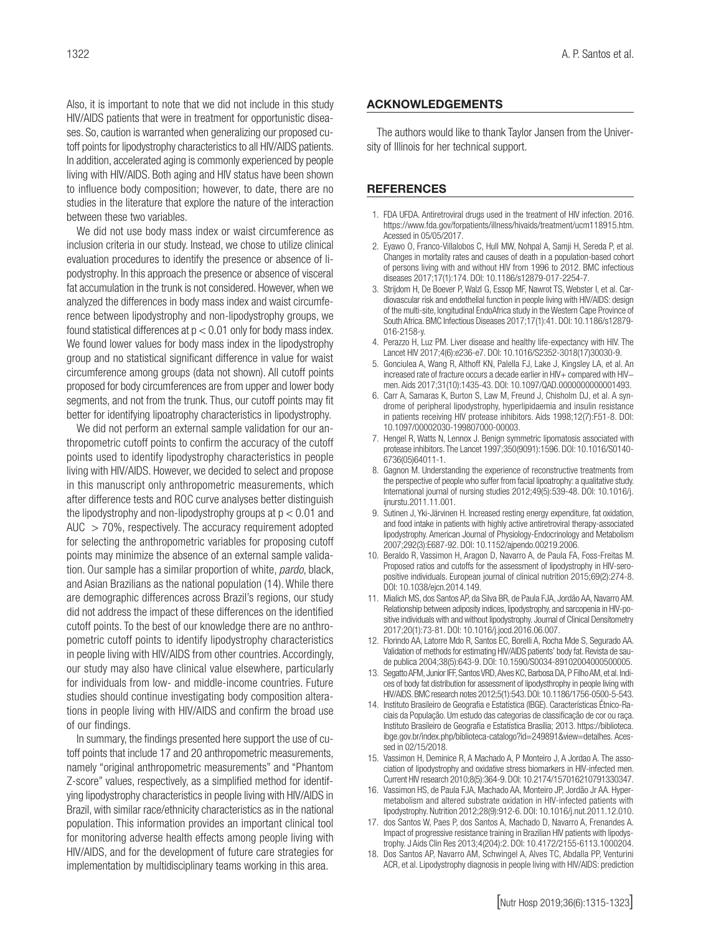Also, it is important to note that we did not include in this study HIV/AIDS patients that were in treatment for opportunistic diseases. So, caution is warranted when generalizing our proposed cutoff points for lipodystrophy characteristics to all HIV/AIDS patients. In addition, accelerated aging is commonly experienced by people living with HIV/AIDS. Both aging and HIV status have been shown to influence body composition; however, to date, there are no studies in the literature that explore the nature of the interaction between these two variables.

We did not use body mass index or waist circumference as inclusion criteria in our study. Instead, we chose to utilize clinical evaluation procedures to identify the presence or absence of lipodystrophy. In this approach the presence or absence of visceral fat accumulation in the trunk is not considered. However, when we analyzed the differences in body mass index and waist circumference between lipodystrophy and non-lipodystrophy groups, we found statistical differences at  $p < 0.01$  only for body mass index. We found lower values for body mass index in the lipodystrophy group and no statistical significant difference in value for waist circumference among groups (data not shown). All cutoff points proposed for body circumferences are from upper and lower body segments, and not from the trunk. Thus, our cutoff points may fit better for identifying lipoatrophy characteristics in lipodystrophy.

We did not perform an external sample validation for our anthropometric cutoff points to confirm the accuracy of the cutoff points used to identify lipodystrophy characteristics in people living with HIV/AIDS. However, we decided to select and propose in this manuscript only anthropometric measurements, which after difference tests and ROC curve analyses better distinguish the lipodystrophy and non-lipodystrophy groups at  $p < 0.01$  and  $AUC$   $>$  70%, respectively. The accuracy requirement adopted for selecting the anthropometric variables for proposing cutoff points may minimize the absence of an external sample validation. Our sample has a similar proportion of white, *pardo*, black, and Asian Brazilians as the national population (14). While there are demographic differences across Brazil's regions, our study did not address the impact of these differences on the identified cutoff points. To the best of our knowledge there are no anthropometric cutoff points to identify lipodystrophy characteristics in people living with HIV/AIDS from other countries. Accordingly, our study may also have clinical value elsewhere, particularly for individuals from low- and middle-income countries. Future studies should continue investigating body composition alterations in people living with HIV/AIDS and confirm the broad use of our findings.

In summary, the findings presented here support the use of cutoff points that include 17 and 20 anthropometric measurements, namely "original anthropometric measurements" and "Phantom Z-score" values, respectively, as a simplified method for identifying lipodystrophy characteristics in people living with HIV/AIDS in Brazil, with similar race/ethnicity characteristics as in the national population. This information provides an important clinical tool for monitoring adverse health effects among people living with HIV/AIDS, and for the development of future care strategies for implementation by multidisciplinary teams working in this area.

#### ACKNOWLEDGEMENTS

The authors would like to thank Taylor Jansen from the University of Illinois for her technical support.

#### **REFERENCES**

- 1. FDA UFDA. Antiretroviral drugs used in the treatment of HIV infection. 2016. https://www.fda.gov/forpatients/illness/hivaids/treatment/ucm118915.htm. Acessed in 05/05/2017.
- 2. Eyawo O, Franco-Villalobos C, Hull MW, Nohpal A, Samji H, Sereda P, et al. Changes in mortality rates and causes of death in a population-based cohort of persons living with and without HIV from 1996 to 2012. BMC infectious diseases 2017;17(1):174. DOI: 10.1186/s12879-017-2254-7.
- 3. Strijdom H, De Boever P, Walzl G, Essop MF, Nawrot TS, Webster I, et al. Cardiovascular risk and endothelial function in people living with HIV/AIDS: design of the multi-site, longitudinal EndoAfrica study in the Western Cape Province of South Africa. BMC Infectious Diseases 2017;17(1):41. DOI: 10.1186/s12879- 016-2158-y.
- 4. Perazzo H, Luz PM. Liver disease and healthy life-expectancy with HIV. The Lancet HIV 2017;4(6):e236-e7. DOI: 10.1016/S2352-3018(17)30030-9.
- 5. Gonciulea A, Wang R, Althoff KN, Palella FJ, Lake J, Kingsley LA, et al. An increased rate of fracture occurs a decade earlier in HIV+ compared with HIV− men. Aids 2017;31(10):1435-43. DOI: 10.1097/QAD.0000000000001493.
- 6. Carr A, Samaras K, Burton S, Law M, Freund J, Chisholm DJ, et al. A syndrome of peripheral lipodystrophy, hyperlipidaemia and insulin resistance in patients receiving HIV protease inhibitors. Aids 1998;12(7):F51-8. DOI: 10.1097/00002030-199807000-00003.
- 7. Hengel R, Watts N, Lennox J. Benign symmetric lipomatosis associated with protease inhibitors. The Lancet 1997;350(9091):1596. DOI: 10.1016/S0140- 6736(05)64011-1.
- 8. Gagnon M. Understanding the experience of reconstructive treatments from the perspective of people who suffer from facial lipoatrophy: a qualitative study. International journal of nursing studies 2012;49(5):539-48. DOI: 10.1016/j. ijnurstu.2011.11.001.
- 9. Sutinen J, Yki-Järvinen H. Increased resting energy expenditure, fat oxidation, and food intake in patients with highly active antiretroviral therapy-associated lipodystrophy. American Journal of Physiology-Endocrinology and Metabolism 2007;292(3):E687-92. DOI: 10.1152/ajpendo.00219.2006.
- 10. Beraldo R, Vassimon H, Aragon D, Navarro A, de Paula FA, Foss-Freitas M. Proposed ratios and cutoffs for the assessment of lipodystrophy in HIV-seropositive individuals. European journal of clinical nutrition 2015;69(2):274-8. DOI: 10.1038/ejcn.2014.149.
- 11. Mialich MS, dos Santos AP, da Silva BR, de Paula FJA, Jordão AA, Navarro AM. Relationship between adiposity indices, lipodystrophy, and sarcopenia in HIV-positive individuals with and without lipodystrophy. Journal of Clinical Densitometry 2017;20(1):73-81. DOI: 10.1016/j.jocd.2016.06.007.
- 12. Florindo AA, Latorre Mdo R, Santos EC, Borelli A, Rocha Mde S, Segurado AA. Validation of methods for estimating HIV/AIDS patients' body fat. Revista de saude publica 2004;38(5):643-9. DOI: 10.1590/S0034-89102004000500005.
- 13. Segatto AFM, Junior IFF, Santos VRD, Alves KC, Barbosa DA, P Filho AM, et al. Indices of body fat distribution for assessment of lipodysthrophy in people living with HIV/AIDS. BMC research notes 2012;5(1):543. DOI: 10.1186/1756-0500-5-543.
- 14. Instituto Brasileiro de Geografia e Estatística (IBGE). Características Étnico-Raciais da População. Um estudo das categorias de classificação de cor ou raça. Instituto Brasileiro de Geografia e Estatística Brasília; 2013. https://biblioteca. ibge.gov.br/index.php/biblioteca-catalogo?id=249891&view=detalhes. Acessed in 02/15/2018.
- 15. Vassimon H, Deminice R, A Machado A, P Monteiro J, A Jordao A. The association of lipodystrophy and oxidative stress biomarkers in HIV-infected men. Current HIV research 2010;8(5):364-9. DOI: 10.2174/157016210791330347.
- 16. Vassimon HS, de Paula FJA, Machado AA, Monteiro JP, Jordão Jr AA. Hypermetabolism and altered substrate oxidation in HIV-infected patients with lipodystrophy. Nutrition 2012;28(9):912-6. DOI: 10.1016/j.nut.2011.12.010.
- 17. dos Santos W, Paes P, dos Santos A, Machado D, Navarro A, Frenandes A. Impact of progressive resistance training in Brazilian HIV patients with lipodystrophy. J Aids Clin Res 2013;4(204):2. DOI: 10.4172/2155-6113.1000204.
- 18. Dos Santos AP, Navarro AM, Schwingel A, Alves TC, Abdalla PP, Venturini ACR, et al. Lipodystrophy diagnosis in people living with HIV/AIDS: prediction